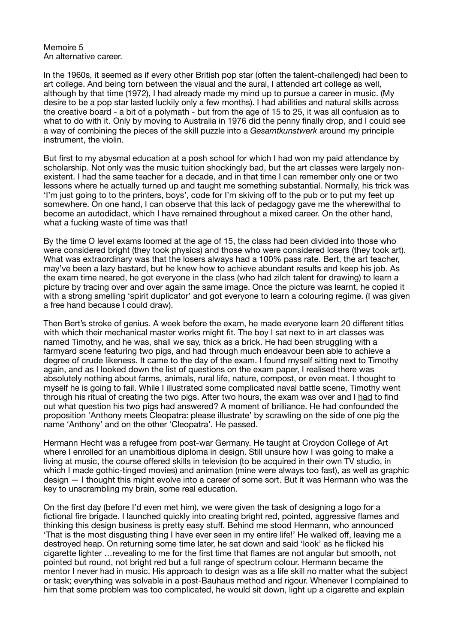Memoire 5 An alternative career.

In the 1960s, it seemed as if every other British pop star (often the talent-challenged) had been to art college. And being torn between the visual and the aural, I attended art college as well, although by that time (1972), I had already made my mind up to pursue a career in music. (My desire to be a pop star lasted luckily only a few months). I had abilities and natural skills across the creative board - a bit of a polymath - but from the age of 15 to 25, it was all confusion as to what to do with it. Only by moving to Australia in 1976 did the penny finally drop, and I could see a way of combining the pieces of the skill puzzle into a *Gesamtkunstwerk* around my principle instrument, the violin.

But first to my abysmal education at a posh school for which I had won my paid attendance by scholarship. Not only was the music tuition shockingly bad, but the art classes were largely nonexistent. I had the same teacher for a decade, and in that time I can remember only one or two lessons where he actually turned up and taught me something substantial. Normally, his trick was 'I'm just going to to the printers, boys', code for I'm skiving off to the pub or to put my feet up somewhere. On one hand, I can observe that this lack of pedagogy gave me the wherewithal to become an autodidact, which I have remained throughout a mixed career. On the other hand, what a fucking waste of time was that!

By the time O level exams loomed at the age of 15, the class had been divided into those who were considered bright (they took physics) and those who were considered losers (they took art). What was extraordinary was that the losers always had a 100% pass rate. Bert, the art teacher, may've been a lazy bastard, but he knew how to achieve abundant results and keep his job. As the exam time neared, he got everyone in the class (who had zilch talent for drawing) to learn a picture by tracing over and over again the same image. Once the picture was learnt, he copied it with a strong smelling 'spirit duplicator' and got everyone to learn a colouring regime. (I was given a free hand because I could draw).

Then Bert's stroke of genius. A week before the exam, he made everyone learn 20 different titles with which their mechanical master works might fit. The boy I sat next to in art classes was named Timothy, and he was, shall we say, thick as a brick. He had been struggling with a farmyard scene featuring two pigs, and had through much endeavour been able to achieve a degree of crude likeness. It came to the day of the exam. I found myself sitting next to Timothy again, and as I looked down the list of questions on the exam paper, I realised there was absolutely nothing about farms, animals, rural life, nature, compost, or even meat. I thought to myself he is going to fail. While I illustrated some complicated naval battle scene, Timothy went through his ritual of creating the two pigs. After two hours, the exam was over and I had to find out what question his two pigs had answered? A moment of brilliance. He had confounded the proposition 'Anthony meets Cleopatra: please illustrate' by scrawling on the side of one pig the name 'Anthony' and on the other 'Cleopatra'. He passed.

Hermann Hecht was a refugee from post-war Germany. He taught at Croydon College of Art where I enrolled for an unambitious diploma in design. Still unsure how I was going to make a living at music, the course offered skills in television (to be acquired in their own TV studio, in which I made gothic-tinged movies) and animation (mine were always too fast), as well as graphic design — I thought this might evolve into a career of some sort. But it was Hermann who was the key to unscrambling my brain, some real education.

On the first day (before I'd even met him), we were given the task of designing a logo for a fictional fire brigade. I launched quickly into creating bright red, pointed, aggressive flames and thinking this design business is pretty easy stuff. Behind me stood Hermann, who announced 'That is the most disgusting thing I have ever seen in my entire life!' He walked off, leaving me a destroyed heap. On returning some time later, he sat down and said 'look' as he flicked his cigarette lighter …revealing to me for the first time that flames are not angular but smooth, not pointed but round, not bright red but a full range of spectrum colour. Hermann became the mentor I never had in music. His approach to design was as a life skill no matter what the subject or task; everything was solvable in a post-Bauhaus method and rigour. Whenever I complained to him that some problem was too complicated, he would sit down, light up a cigarette and explain